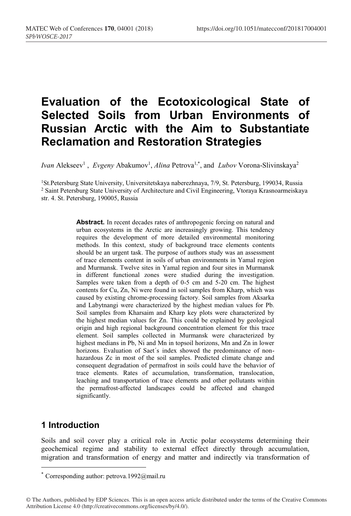# **Evaluation of the Ecotoxicological State of Selected Soils from Urban Environments of Russian Arctic with the Aim to Substantiate Reclamation and Restoration Strategies**

Ivan Alekseev<sup>1</sup>, *Evgeny* Abakumov<sup>1</sup>, *Alina* Petrova<sup>1,\*</sup>, and *Lubov* Vorona-Slivinskaya<sup>2</sup>

1St.Petersburg State University, Universitetskaya naberezhnaya, 7/9, St. Petersburg, 199034, Russia <sup>2</sup> Saint Petersburg State University of Architecture and Civil Engineering, Vtoraya Krasnoarmeiskaya str. 4. St. Petersburg, 190005, Russia

> **Abstract.** In recent decades rates of anthropogenic forcing on natural and urban ecosystems in the Arctic are increasingly growing. This tendency requires the development of more detailed environmental monitoring methods. In this context, study of background trace elements contents should be an urgent task. The purpose of authors study was an assessment of trace elements content in soils of urban environments in Yamal region and Murmansk. Twelve sites in Yamal region and four sites in Murmansk in different functional zones were studied during the investigation. Samples were taken from a depth of 0-5 cm and 5-20 cm. The highest contents for Cu, Zn, Ni were found in soil samples from Kharp, which was caused by existing chrome-processing factory. Soil samples from Aksarka and Labytnangi were characterized by the highest median values for Pb. Soil samples from Kharsaim and Kharp key plots were characterized by the highest median values for Zn. This could be explained by geological origin and high regional background concentration element for this trace element. Soil samples collected in Murmansk were characterized by highest medians in Pb, Ni and Mn in topsoil horizons, Mn and Zn in lower horizons. Evaluation of Saet's index showed the predominance of nonhazardous Zc in most of the soil samples. Predicted climate change and consequent degradation of permafrost in soils could have the behavior of trace elements. Rates of accumulation, transformation, translocation, leaching and transportation of trace elements and other pollutants within the permafrost-affected landscapes could be affected and changed significantly.

## **1 Introduction**

Soils and soil cover play a critical role in Arctic polar ecosystems determining their geochemical regime and stability to external effect directly through accumulation, migration and transformation of energy and matter and indirectly via transformation of

© The Authors, published by EDP Sciences. This is an open access article distributed under the terms of the Creative Commons Attribution License 4.0 (http://creativecommons.org/licenses/by/4.0/).

<sup>\*</sup> Corresponding author: petrova.1992@mail.ru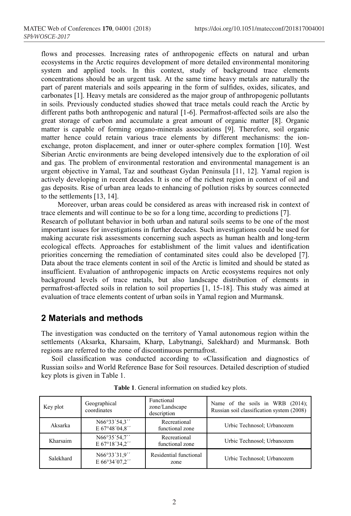flows and processes. Increasing rates of anthropogenic effects on natural and urban ecosystems in the Arctic requires development of more detailed environmental monitoring system and applied tools. In this context, study of background trace elements concentrations should be an urgent task. At the same time heavy metals are naturally the part of parent materials and soils appearing in the form of sulfides, oxides, silicates, and carbonates [1]. Heavy metals are considered as the major group of anthropogenic pollutants in soils. Previously conducted studies showed that trace metals could reach the Arctic by different paths both anthropogenic and natural [1-6]. Permafrost-affected soils are also the great storage of carbon and accumulate a great amount of organic matter [8]. Organic matter is capable of forming organo-minerals associations [9]. Therefore, soil organic matter hence could retain various trace elements by different mechanisms: the ionexchange, proton displacement, and inner or outer-sphere complex formation [10]. West Siberian Arctic environments are being developed intensively due to the exploration of oil and gas. The problem of environmental restoration and environmental management is an urgent objective in Yamal, Taz and southeast Gydan Peninsula [11, 12]. Yamal region is actively developing in recent decades. It is one of the richest region in context of oil and gas deposits. Rise of urban area leads to enhancing of pollution risks by sources connected to the settlements [13, 14].

Moreover, urban areas could be considered as areas with increased risk in context of trace elements and will continue to be so for a long time, according to predictions [7]. Research of pollutant behavior in both urban and natural soils seems to be one of the most important issues for investigations in further decades. Such investigations could be used for making accurate risk assessments concerning such aspects as human health and long-term ecological effects. Approaches for establishment of the limit values and identification priorities concerning the remediation of contaminated sites could also be developed [7]. Data about the trace elements content in soil of the Arctic is limited and should be stated as insufficient. Evaluation of anthropogenic impacts on Arctic ecosystems requires not only background levels of trace metals, but also landscape distribution of elements in permafrost-affected soils in relation to soil properties [1, 15-18]. This study was aimed at evaluation of trace elements content of urban soils in Yamal region and Murmansk.

## **2 Materials and methods**

The investigation was conducted on the territory of Yamal autonomous region within the settlements (Aksarka, Kharsaim, Kharp, Labytnangi, Salekhard) and Murmansk. Both regions are referred to the zone of discontinuous permafrost.

Soil classification was conducted according to «Classification and diagnostics of Russian soils» and World Reference Base for Soil resources. Detailed description of studied key plots is given in Table 1.

| Key plot  | Geographical<br>coordinates   | Functional<br>zone/Landscape<br>description | Name of the soils in WRB (2014);<br>Russian soil classification system (2008) |  |
|-----------|-------------------------------|---------------------------------------------|-------------------------------------------------------------------------------|--|
| Aksarka   | N66°33'54,3"<br>E 67°48'04,8" | Recreational<br>functional zone             | Urbic Technosol; Urbanozem                                                    |  |
| Kharsaim  | N66°35'54,7"<br>E 67°18'34,2" | Recreational<br>functional zone             | Urbic Technosol; Urbanozem                                                    |  |
| Salekhard | N66°33'31,9"<br>E 66°34'07,2" | Residential functional<br>zone              | Urbic Technosol; Urbanozem                                                    |  |

**Table 1**. General information on studied key plots.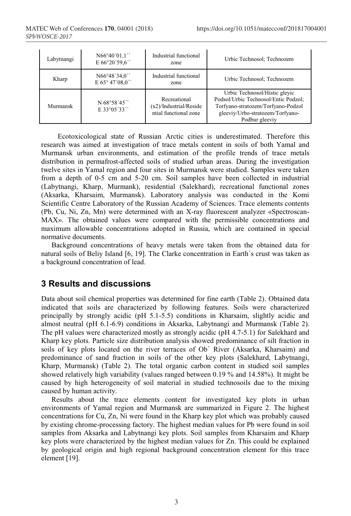| Labytnangi | N66°40'01,1''<br>E 66°20'59,6" | Industrial functional<br>zone                                      | Urbic Technosol; Technozem                                                                                                                                        |  |
|------------|--------------------------------|--------------------------------------------------------------------|-------------------------------------------------------------------------------------------------------------------------------------------------------------------|--|
| Kharp      | N66°48'34,0"<br>E 65° 47'08.0" | Industrial functional<br>zone                                      | Urbic Technosol; Technozem                                                                                                                                        |  |
| Murmansk   | N 68°58'45"<br>E 33°05'33"     | Recreational<br>$(x2)/$ Industrial/Reside<br>ntial functional zone | Urbic Technosol/Histic gleyic<br>Podsol/Urbic Technosol/Entic Podzol;<br>Torfyano-stratozem/Torfyano-Podzol<br>gleeviy/Urbo-stratozem/Torfyano-<br>Podbur gleeviy |  |

Ecotoxicological state of Russian Arctic cities is underestimated. Therefore this research was aimed at investigation of trace metals content in soils of both Yamal and Murmansk urban environments, and estimation of the profile trends of trace metals distribution in permafrost-affected soils of studied urban areas. During the investigation twelve sites in Yamal region and four sites in Murmansk were studied. Samples were taken from a depth of 0-5 cm and 5-20 cm. Soil samples have been collected in industrial (Labytnangi, Kharp, Murmank), residential (Salekhard), recreational functional zones (Aksarka, Kharsaim, Murmansk). Laboratory analysis was conducted in the Komi Scientific Centre Laboratory of the Russian Academy of Sciences. Trace elements contents (Pb, Cu, Ni, Zn, Mn) were determined with an X-ray fluorescent analyzer «Spectroscan-MAX». The obtained values were compared with the permissible concentrations and maximum allowable concentrations adopted in Russia, which are contained in special normative documents.

Background concentrations of heavy metals were taken from the obtained data for natural soils of Beliy Island [6, 19]. The Clarke concentration in Earth´s crust was taken as a background concentration of lead.

## **3 Results and discussions**

Data about soil chemical properties was determined for fine earth (Table 2). Obtained data indicated that soils are characterized by following features. Soils were characterized principally by strongly acidic (pH 5.1-5.5) conditions in Kharsaim, slightly acidic and almost neutral (pH 6.1-6.9) conditions in Aksarka, Labytnangi and Murmansk (Table 2). The pH values were characterized mostly as strongly acidic (pH 4.7-5.1) for Salekhard and Kharp key plots. Particle size distribution analysis showed predominance of silt fraction in soils of key plots located on the river terraces of Ob´ River (Aksarka, Kharsaim) and predominance of sand fraction in soils of the other key plots (Salekhard, Labytnangi, Kharp, Murmansk) (Table 2). The total organic carbon content in studied soil samples showed relatively high variability (values ranged between 0.19 % and 14.58%). It might be caused by high heterogeneity of soil material in studied technosoils due to the mixing caused by human activity.

Results about the trace elements content for investigated key plots in urban environments of Yamal region and Murmansk are summarized in Figure 2. The highest concentrations for Cu, Zn, Ni were found in the Kharp key plot which was probably caused by existing chrome-processing factory. The highest median values for Pb were found in soil samples from Aksarka and Labytnangi key plots. Soil samples from Kharsaim and Kharp key plots were characterized by the highest median values for Zn. This could be explained by geological origin and high regional background concentration element for this trace element [19].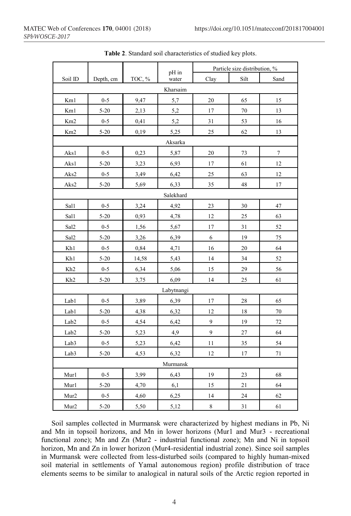|                  |           |        |                | Particle size distribution, % |      |                  |  |  |  |  |
|------------------|-----------|--------|----------------|-------------------------------|------|------------------|--|--|--|--|
| Soil ID          | Depth, cm | TOC, % | pH in<br>water | Clay                          | Silt | Sand             |  |  |  |  |
| Kharsaim         |           |        |                |                               |      |                  |  |  |  |  |
| Km1              | $0 - 5$   | 9,47   | 5,7            | 20                            | 65   | 15               |  |  |  |  |
| Km1              | $5 - 20$  | 2,13   | 5,2            | 17                            | 70   | 13               |  |  |  |  |
| Km <sub>2</sub>  | $0 - 5$   | 0,41   | 5,2            | 31                            | 53   | 16               |  |  |  |  |
| Km <sub>2</sub>  | $5 - 20$  | 0,19   | 5,25           | 25                            | 62   | 13               |  |  |  |  |
| Aksarka          |           |        |                |                               |      |                  |  |  |  |  |
| Aks1             | $0 - 5$   | 0,23   | 5,87           | 20                            | 73   | $\boldsymbol{7}$ |  |  |  |  |
| Aks1             | $5 - 20$  | 3,23   | 6,93           | 17                            | 61   | 12               |  |  |  |  |
| Aks2             | $0 - 5$   | 3,49   | 6,42           | 25                            | 63   | 12               |  |  |  |  |
| Aks2             | $5 - 20$  | 5,69   | 6,33           | 35                            | 48   | 17               |  |  |  |  |
| Salekhard        |           |        |                |                               |      |                  |  |  |  |  |
| Sal1             | $0 - 5$   | 3,24   | 4,92           | 23                            | 30   | 47               |  |  |  |  |
| Sal1             | $5 - 20$  | 0,93   | 4,78           | 12                            | 25   | 63               |  |  |  |  |
| Sal <sub>2</sub> | $0 - 5$   | 1,56   | 5,67           | 17                            | 31   | 52               |  |  |  |  |
| Sal2             | $5 - 20$  | 3,26   | 6,39           | 6                             | 19   | 75               |  |  |  |  |
| Kh1              | $0 - 5$   | 0,84   | 4,71           | 16                            | 20   | 64               |  |  |  |  |
| Kh1              | $5 - 20$  | 14,58  | 5,43           | 14                            | 34   | 52               |  |  |  |  |
| Kh <sub>2</sub>  | $0 - 5$   | 6,34   | 5,06           | 15                            | 29   | 56               |  |  |  |  |
| Kh <sub>2</sub>  | $5 - 20$  | 3,75   | 6,09           | 14                            | 25   | 61               |  |  |  |  |
| Labytnangi       |           |        |                |                               |      |                  |  |  |  |  |
| Lab1             | $0 - 5$   | 3,89   | 6,39           | 17                            | 28   | 65               |  |  |  |  |
| Lab1             | $5 - 20$  | 4,38   | 6,32           | 12                            | 18   | 70               |  |  |  |  |
| Lab <sub>2</sub> | $0 - 5$   | 4,54   | 6,42           | 9                             | 19   | 72               |  |  |  |  |
| Lab <sub>2</sub> | $5 - 20$  | 5,23   | 4,9            | 9                             | 27   | 64               |  |  |  |  |
| Lab <sub>3</sub> | $0 - 5$   | 5,23   | 6,42           | 11                            | 35   | 54               |  |  |  |  |
| Lab <sub>3</sub> | $5 - 20$  | 4,53   | 6,32           | 12                            | 17   | 71               |  |  |  |  |
| Murmansk         |           |        |                |                               |      |                  |  |  |  |  |
| Murl             | $0 - 5$   | 3,99   | 6,43           | 19                            | 23   | 68               |  |  |  |  |
| Murl             | $5 - 20$  | 4,70   | 6,1            | 15                            | 21   | 64               |  |  |  |  |
| Mur2             | $0 - 5$   | 4,60   | 6,25           | 14                            | 24   | 62               |  |  |  |  |
| Mur2             | $5 - 20$  | 5,50   | 5,12           | $\,$ 8 $\,$                   | 31   | 61               |  |  |  |  |

**Table 2**. Standard soil characteristics of studied key plots.

Soil samples collected in Murmansk were characterized by highest medians in Pb, Ni and Mn in topsoil horizons, and Mn in lower horizons (Mur1 and Mur3 - recreational functional zone); Mn and Zn (Mur2 - industrial functional zone); Mn and Ni in topsoil horizon, Mn and Zn in lower horizon (Mur4-residential industrial zone). Since soil samples in Murmansk were collected from less-disturbed soils (compared to highly human-mixed soil material in settlements of Yamal autonomous region) profile distribution of trace elements seems to be similar to analogical in natural soils of the Arctic region reported in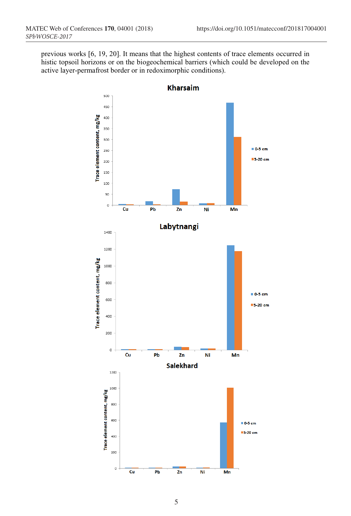previous works [6, 19, 20]. It means that the highest contents of trace elements occurred in histic topsoil horizons or on the biogeochemical barriers (which could be developed on the active layer-permafrost border or in redoximorphic conditions).



5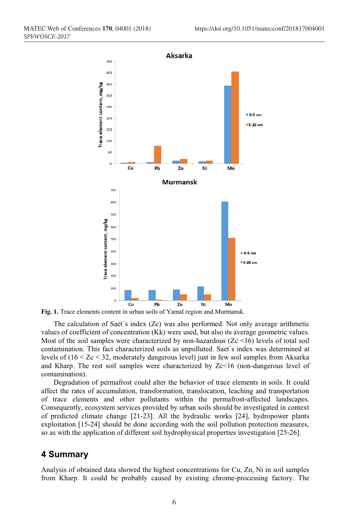

**Fig. 1.** Trace elements content in urban soils of Yamal region and Murmansk.

The calculation of Saet´s index (Zc) was also performed. Not only average arithmetic values of coefficient of concentration (Kk) were used, but also its average geometric values. Most of the soil samples were characterized by non-hazardous ( $Zc \le 16$ ) levels of total soil contamination. This fact characterized soils as unpolluted. Saet´s index was determined at levels of  $(16 < Z< 32$ , moderately dangerous level) just in few soil samples from Aksarka and Kharp. The rest soil samples were characterized by Zc<16 (non-dangerous level of contamination).

Degradation of permafrost could alter the behavior of trace elements in soils. It could affect the rates of accumulation, transformation, translocation, leaching and transportation of trace elements and other pollutants within the permafrost-affected landscapes. Consequently, ecosystem services provided by urban soils should be investigated in context of predicted climate change [21-23]. All the hydraulic works [24], hydropower plants exploitation [15-24] should be done according with the soil pollution protection measures, so as with the application of different soil hydrophysical properties investigation [25-26].

## **4 Summary**

Analysis of obtained data showed the highest concentrations for Cu, Zn, Ni in soil samples from Kharp. It could be probably caused by existing chrome-processing factory. The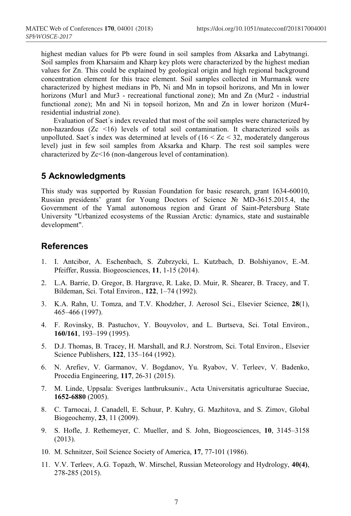highest median values for Pb were found in soil samples from Aksarka and Labytnangi. Soil samples from Kharsaim and Kharp key plots were characterized by the highest median values for Zn. This could be explained by geological origin and high regional background concentration element for this trace element. Soil samples collected in Murmansk were characterized by highest medians in Pb, Ni and Mn in topsoil horizons, and Mn in lower horizons (Mur1 and Mur3 - recreational functional zone); Mn and Zn (Mur2 - industrial functional zone); Mn and Ni in topsoil horizon, Mn and Zn in lower horizon (Mur4 residential industrial zone).

Evaluation of Saet´s index revealed that most of the soil samples were characterized by non-hazardous (Zc <16) levels of total soil contamination. It characterized soils as unpolluted. Saet's index was determined at levels of  $(16 < Z<sub>C</sub> < 32$ , moderately dangerous level) just in few soil samples from Aksarka and Kharp. The rest soil samples were characterized by Zc<16 (non-dangerous level of contamination).

## **5 Acknowledgments**

This study was supported by Russian Foundation for basic research, grant 1634-60010, Russian presidents' grant for Young Doctors of Science № MD-3615.2015.4, the Government of the Yamal autonomous region and Grant of Saint-Petersburg State University "Urbanized ecosystems of the Russian Arctic: dynamics, state and sustainable development".

## **References**

- 1. I. Antcibor, A. Eschenbach, S. Zubrzycki, L. Kutzbach, D. Bolshiyanov, E.-M. Pfeiffer, Russia. Biogeosciences, **11**, 1-15 (2014).
- 2. L.A. Barrie, D. Gregor, B. Hargrave, R. Lake, D. Muir, R. Shearer, B. Tracey, and T. Bildeman, Sci. Total Environ., **122**, 1–74 (1992).
- 3. K.A. Rahn, U. Tomza, and T.V. Khodzher, J. Aerosol Sci., Elsevier Science, **28**(1), 465–466 (1997).
- 4. F. Rovinsky, B. Pastuchov, Y. Bouyvolov, and L. Burtseva, Sci. Total Environ., **160/161**, 193–199 (1995).
- 5. D.J. Thomas, B. Tracey, H. Marshall, and R.J. Norstrom, Sci. Total Environ., Elsevier Science Publishers, **122**, 135–164 (1992).
- 6. N. Arefiev, V. Garmanov, V. Bogdanov, Yu. Ryabov, V. Terleev, V. Badenko, Procedia Engineering, **117**, 26-31 (2015).
- 7. M. Linde, Uppsala: Sveriges lantbruksuniv., Acta Universitatis agriculturae Sueciae, **1652-6880** (2005).
- 8. C. Tarnocai, J. Canadell, E. Schuur, P. Kuhry, G. Mazhitova, and S. Zimov, Global Biogeochemy, **23**, 11 (2009).
- 9. S. Hofle, J. Rethemeyer, C. Mueller, and S. John, Biogeosciences, **10**, 3145–3158 (2013).
- 10. M. Schnitzer, Soil Science Society of America, **17**, 77-101 (1986).
- 11. V.V. Terleev, A.G. Topazh, W. Mirschel, Russian Meteorology and Hydrology, **40(4)**, 278-285 (2015).